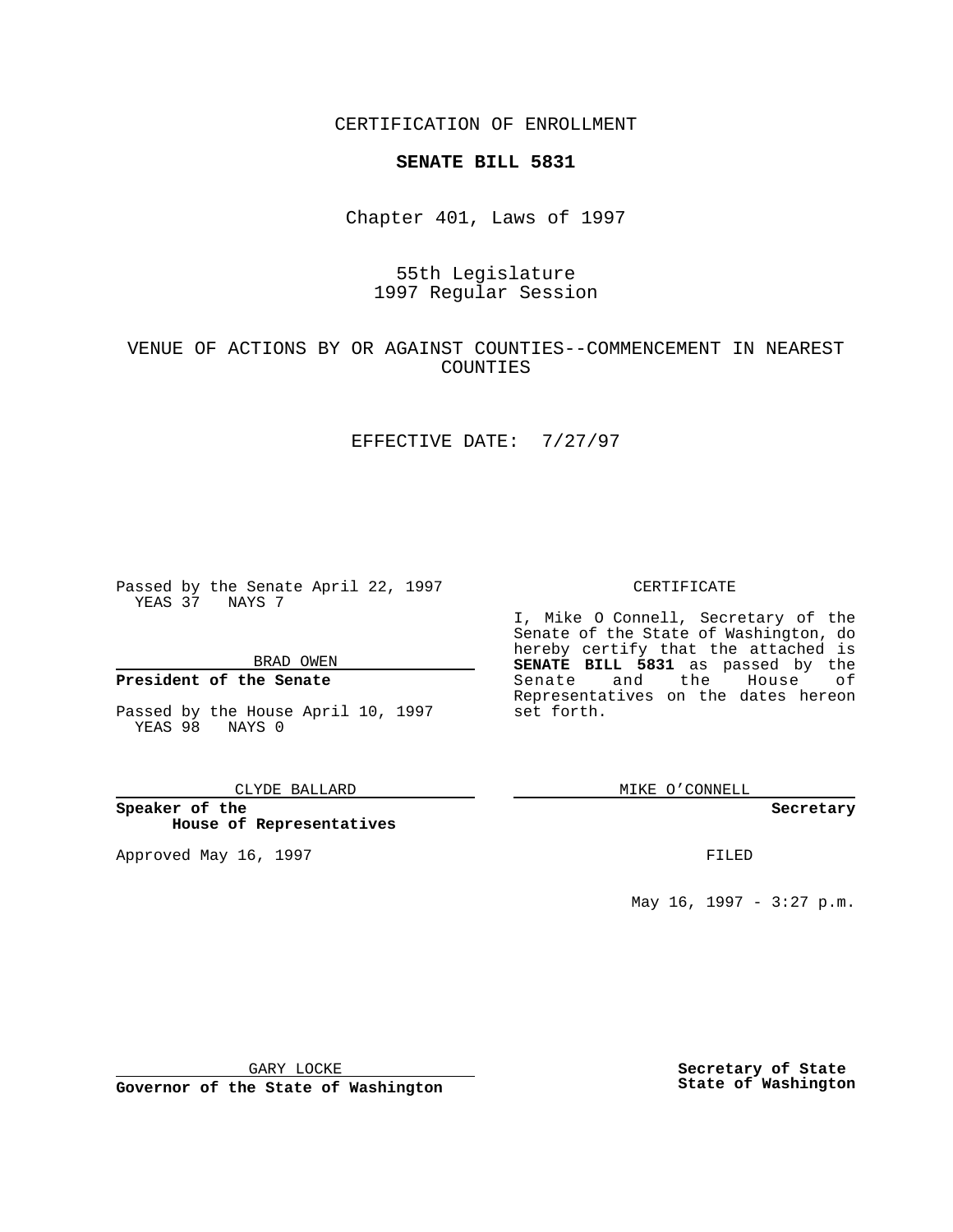CERTIFICATION OF ENROLLMENT

### **SENATE BILL 5831**

Chapter 401, Laws of 1997

# 55th Legislature 1997 Regular Session

### VENUE OF ACTIONS BY OR AGAINST COUNTIES--COMMENCEMENT IN NEAREST COUNTIES

#### EFFECTIVE DATE: 7/27/97

Passed by the Senate April 22, 1997 YEAS 37 NAYS 7

BRAD OWEN

### **President of the Senate**

Passed by the House April 10, 1997 YEAS 98 NAYS 0

CLYDE BALLARD

**Speaker of the House of Representatives**

Approved May 16, 1997 **FILED** 

CERTIFICATE

I, Mike O Connell, Secretary of the Senate of the State of Washington, do hereby certify that the attached is **SENATE BILL 5831** as passed by the Senate and the House of Representatives on the dates hereon set forth.

MIKE O'CONNELL

#### **Secretary**

May 16, 1997 - 3:27 p.m.

GARY LOCKE

**Governor of the State of Washington**

**Secretary of State State of Washington**